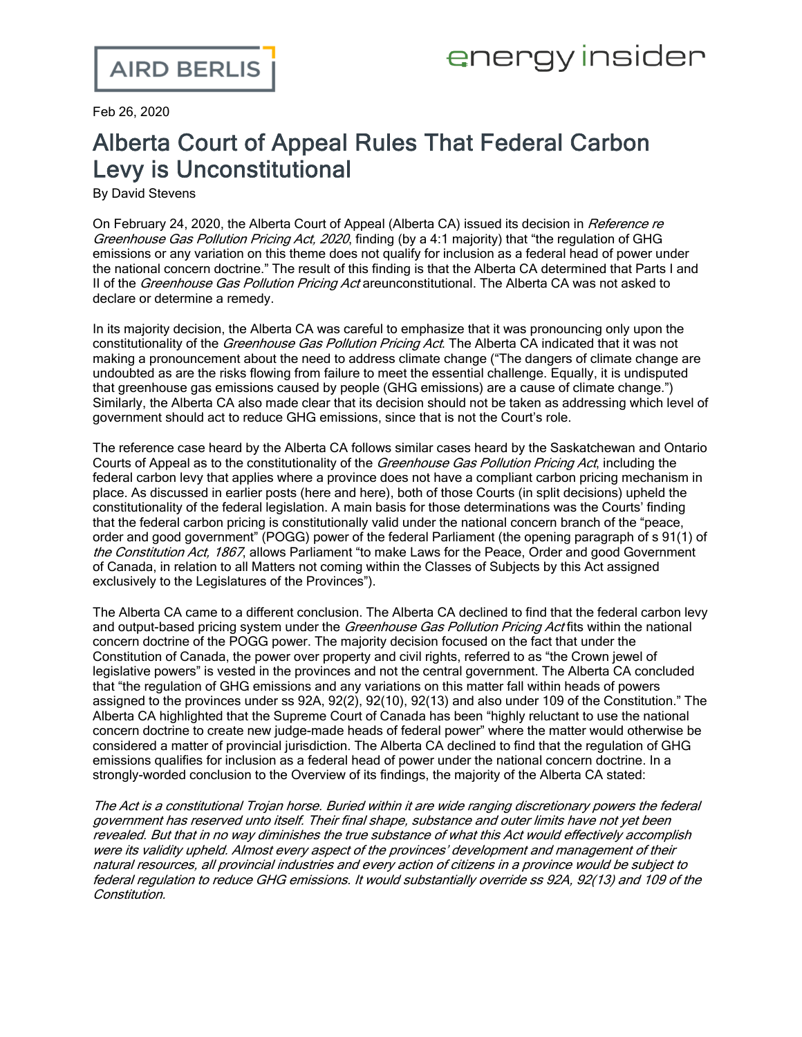Feb 26, 2020

## Alberta Court of Appeal Rules That Federal Carbon Levy is Unconstitutional

By David Stevens

On February 24, 2020, the Alberta Court of Appeal (Alberta CA) issued its decision in Reference re Greenhouse Gas Pollution Pricing Act, 2020, finding (by a 4:1 majority) that "the regulation of GHG emissions or any variation on this theme does not qualify for inclusion as a federal head of power under the national concern doctrine." The result of this finding is that the Alberta CA determined that Parts I and II of the *Greenhouse Gas Pollution Pricing Act* areunconstitutional. The Alberta CA was not asked to declare or determine a remedy.

In its majority decision, the Alberta CA was careful to emphasize that it was pronouncing only upon the constitutionality of the Greenhouse Gas Pollution Pricing Act. The Alberta CA indicated that it was not making a pronouncement about the need to address climate change ("The dangers of climate change are undoubted as are the risks flowing from failure to meet the essential challenge. Equally, it is undisputed that greenhouse gas emissions caused by people (GHG emissions) are a cause of climate change.") Similarly, the Alberta CA also made clear that its decision should not be taken as addressing which level of government should act to reduce GHG emissions, since that is not the Court's role.

The reference case heard by the Alberta CA follows similar cases heard by the Saskatchewan and Ontario Courts of Appeal as to the constitutionality of the *Greenhouse Gas Pollution Pricing Act*, including the federal carbon levy that applies where a province does not have a compliant carbon pricing mechanism in place. As discussed in earlier posts ([here](https://www.airdberlis.com/insights/blogs/energyinsider/post/ei-item/saskatchewan-court-of-appeal-affirms-federal-carbon-pricing-act-is-constitutional) and [here\)](https://www.airdberlis.com/insights/blogs/energyinsider/post/ei-item/ontario-court-of-appeal-rules-that-federal-carbon-pricing-act-is-constitutional), both of those Courts (in split decisions) upheld the constitutionality of the federal legislation. A main basis for those determinations was the Courts' finding that the federal carbon pricing is constitutionally valid under the national concern branch of the "peace, order and good government" (POGG) power of the federal Parliament (the opening paragraph of s 91(1) of the Constitution Act, 1867, allows Parliament "to make Laws for the Peace, Order and good Government of Canada, in relation to all Matters not coming within the Classes of Subjects by this Act assigned exclusively to the Legislatures of the Provinces").

The Alberta CA came to a different conclusion. The Alberta CA declined to find that the federal carbon levy and output-based pricing system under the Greenhouse Gas Pollution Pricing Act fits within the national concern doctrine of the POGG power. The majority decision focused on the fact that under the Constitution of Canada, the power over property and civil rights, referred to as "the Crown jewel of legislative powers" is vested in the provinces and not the central government. The Alberta CA concluded that "the regulation of GHG emissions and any variations on this matter fall within heads of powers assigned to the provinces under ss 92A, 92(2), 92(10), 92(13) and also under 109 of the Constitution." The Alberta CA highlighted that the Supreme Court of Canada has been "highly reluctant to use the national concern doctrine to create new judge-made heads of federal power" where the matter would otherwise be considered a matter of provincial jurisdiction. The Alberta CA declined to find that the regulation of GHG emissions qualifies for inclusion as a federal head of power under the national concern doctrine. In a strongly-worded conclusion to the Overview of its findings, the majority of the Alberta CA stated:

The Act is <sup>a</sup> constitutional Trojan horse. Buried within it are wide ranging discretionary powers the federal government has reserved unto itself. Their final shape, substance and outer limits have not yet been revealed. But that in no way diminishes the true substance of what this Act would effectively accomplish were its validity upheld. Almost every aspect of the provinces' development and management of their natural resources, all provincial industries and every action of citizens in <sup>a</sup> province would be subject to federal regulation to reduce GHG emissions. It would substantially override ss 92A, 92(13) and 109 of the Constitution.